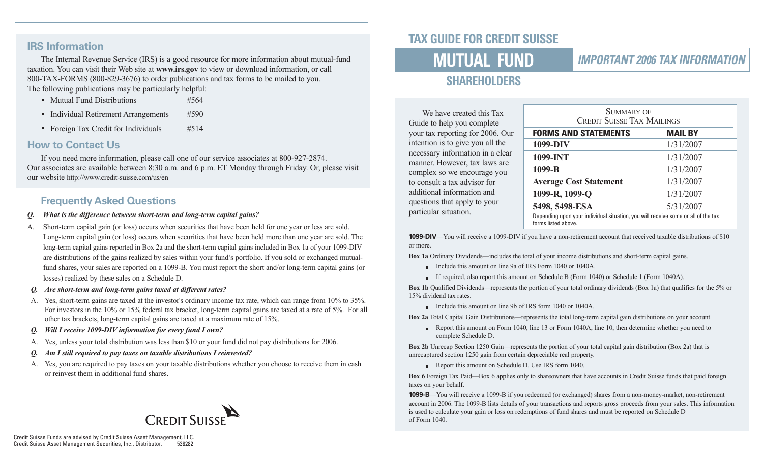#### **IRS Information**

The Internal Revenue Service (IRS) is a good resource for more information about mutual-fund taxation. You can visit their Web site at **www.irs.gov** to view or download information, or call 800-TAX-FORMS (800-829-3676) to order publications and tax forms to be mailed to you. The following publications may be particularly helpful:

- Mutual Fund Distributions #564
- Individual Retirement Arrangements #590
- Foreign Tax Credit for Individuals #514

#### **How to Contact Us**

If you need more information, please call one of our service associates at 800-927-2874. Our associates are available between 8:30 a.m. and 6 p.m. ET Monday through Friday. Or, please visit our website http://www.credit-suisse.com/us/en

### **Frequently Asked Questions**

- *Q. What is the difference between short-term and long-term capital gains?*
- A. Short-term capital gain (or loss) occurs when securities that have been held for one year or less are sold. Long-term capital gain (or loss) occurs when securities that have been held more than one year are sold. The long-term capital gains reported in Box 2a and the short-term capital gains included in Box 1a of your 1099-DIV are distributions of the gains realized by sales within your fund's portfolio. If you sold or exchanged mutualfund shares, your sales are reported on a 1099-B. You must report the short and/or long-term capital gains (or losses) realized by these sales on a Schedule D.
- *Q. Are short-term and long-term gains taxed at different rates?*
- A. Yes, short-term gains are taxed at the investor's ordinary income tax rate, which can range from 10% to 35%. For investors in the 10% or 15% federal tax bracket, long-term capital gains are taxed at a rate of 5%. For all other tax brackets, long-term capital gains are taxed at a maximum rate of 15%.
- *Q. Will I receive 1099-DIV information for every fund I own?*
- A. Yes, unless your total distribution was less than \$10 or your fund did not pay distributions for 2006.
- *Q. Am I still required to pay taxes on taxable distributions I reinvested?*
- A. Yes, you are required to pay taxes on your taxable distributions whether you choose to receive them in cash or reinvest them in additional fund shares.



# **TAX GUIDE FOR CREDIT SUISSE**

# **MUTUAL FUND**

### **IMPORTANT 2006 TAX INFORMATION**

# **SHAREHOLDERS**

We have created this Tax Guide to help you complete your tax reporting for 2006. Our intention is to give you all the necessary information in a clear manner. However, tax laws are complex so we encourage you to consult a tax advisor for additional information and questions that apply to your particular situation.

| SUMMARY OF<br><b>CREDIT SUISSE TAX MAILINGS</b>                                                          |           |  |  |
|----------------------------------------------------------------------------------------------------------|-----------|--|--|
| <b>FORMS AND STATEMENTS</b><br><b>MAIL BY</b>                                                            |           |  |  |
| 1099-DIV                                                                                                 | 1/31/2007 |  |  |
| 1099-INT                                                                                                 | 1/31/2007 |  |  |
| 1099-B                                                                                                   | 1/31/2007 |  |  |
| <b>Average Cost Statement</b>                                                                            | 1/31/2007 |  |  |
| 1099-R, 1099-Q                                                                                           | 1/31/2007 |  |  |
| 5498, 5498-ESA                                                                                           | 5/31/2007 |  |  |
| Depending upon your individual situation, you will receive some or all of the tax<br>forms listed above. |           |  |  |

**1099-DIV**—You will receive a 1099-DIV if you have a non-retirement account that received taxable distributions of \$10 or more.

**Box 1a** Ordinary Dividends—includes the total of your income distributions and short-term capital gains.

- Include this amount on line 9a of IRS Form 1040 or 1040A.
- If required, also report this amount on Schedule B (Form 1040) or Schedule 1 (Form 1040A).

**Box 1b** Qualified Dividends—represents the portion of your total ordinary dividends (Box 1a) that qualifies for the 5% or 15% dividend tax rates.

Include this amount on line 9b of IRS form 1040 or 1040A.

**Box 2a** Total Capital Gain Distributions—represents the total long-term capital gain distributions on your account.

Report this amount on Form 1040, line 13 or Form 1040A, line 10, then determine whether you need to complete Schedule D.

**Box 2b** Unrecap Section 1250 Gain—represents the portion of your total capital gain distribution (Box 2a) that is unrecaptured section 1250 gain from certain depreciable real property.

Report this amount on Schedule D. Use IRS form 1040.

**Box 6** Foreign Tax Paid—Box 6 applies only to shareowners that have accounts in Credit Suisse funds that paid foreign taxes on your behalf.

**1099-B**—You will receive a 1099-B if you redeemed (or exchanged) shares from a non-money-market, non-retirement account in 2006. The 1099-B lists details of your transactions and reports gross proceeds from your sales. This information is used to calculate your gain or loss on redemptions of fund shares and must be reported on Schedule D of Form 1040.

Credit Suisse Funds are advised by Credit Suisse Asset Management, LLC. Credit Suisse Asset Management Securities, Inc., Distributor.